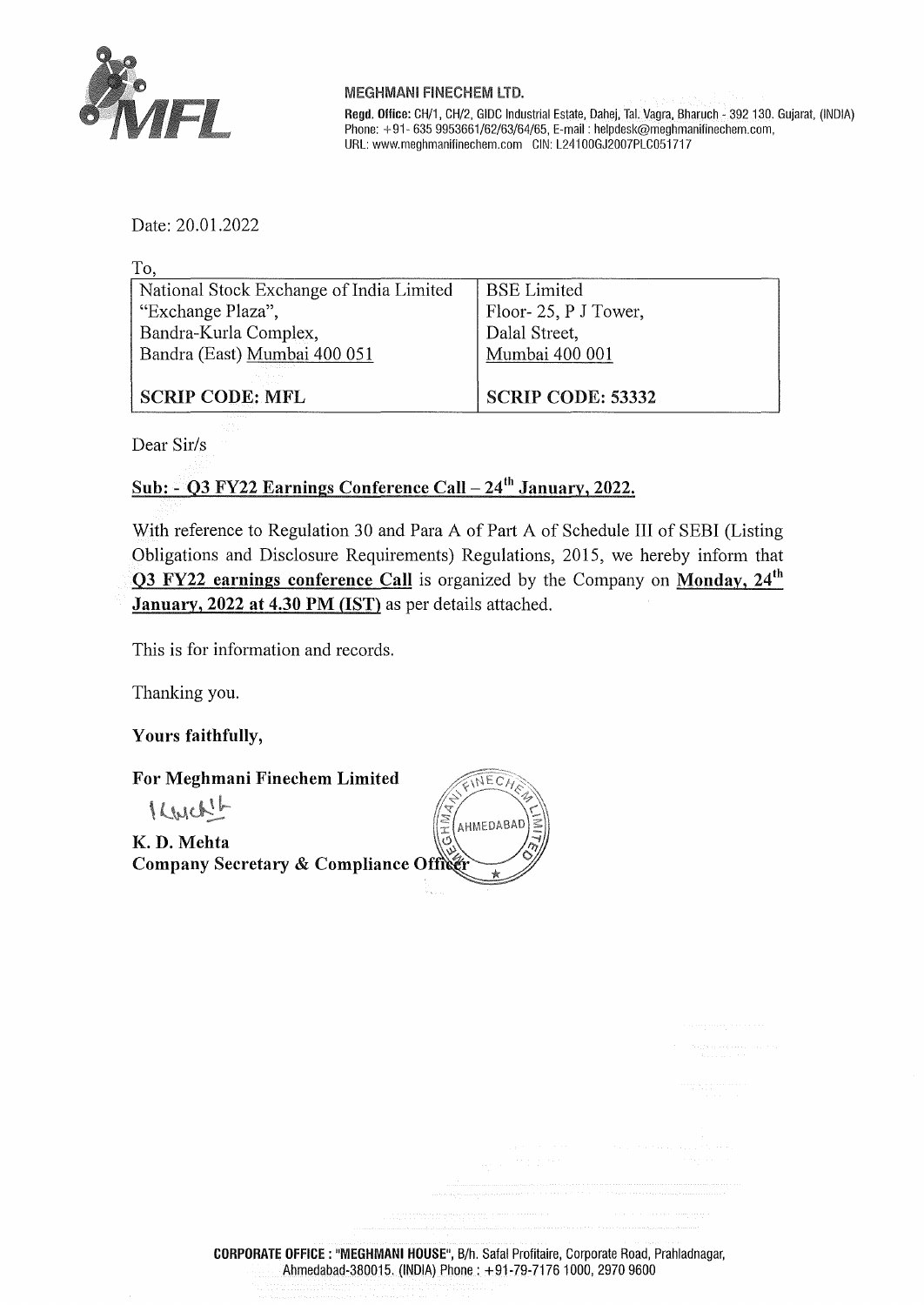

## MEGHMANI FINECHEM LTD.

**Regel. Ollice:** CH/1, CH/2, GIDC Industrial Estate, Dahej, Tai. Vagra, Bharuch - 392 130. Gujarat, (INDIA) Phone: +91- 635 9953661/62/63/64/65, E-mail: helpdesk@meghmanifinechem.com, URL: www.meghmanifinechem.com GIN: L241 00GJ2007PLC051717

Date: 20.01.2022

| To,                                      |                          |
|------------------------------------------|--------------------------|
| National Stock Exchange of India Limited | <b>BSE Limited</b>       |
| "Exchange Plaza",                        | Floor-25, P J Tower,     |
| Bandra-Kurla Complex,                    | Dalal Street,            |
| Bandra (East) Mumbai 400 051             | Mumbai 400 001           |
|                                          |                          |
| <b>SCRIP CODE: MFL</b>                   | <b>SCRIP CODE: 53332</b> |

Dear Sir/s

## Sub:  $\cdot$  Q3 FY22 Earnings Conference Call - 24<sup>th</sup> January, 2022.

With reference to Regulation 30 and Para A of Part A of Schedule III of SEBI (Listing Obligations and Disclosure Requirements) Regulations, 2015, we hereby inform that **03 FY22 earnings conference Call** is organized by the Company on **Monday, 24th January, 2022 at 4.30 PM (1ST)** as per details attached.

This is for information and records.

Thanking you.

**Yours faithfully,** 

**For Meghmani Finechem Limited** 

Kwcket

**K. D. Mehta Company Secretary** & **Compliance**